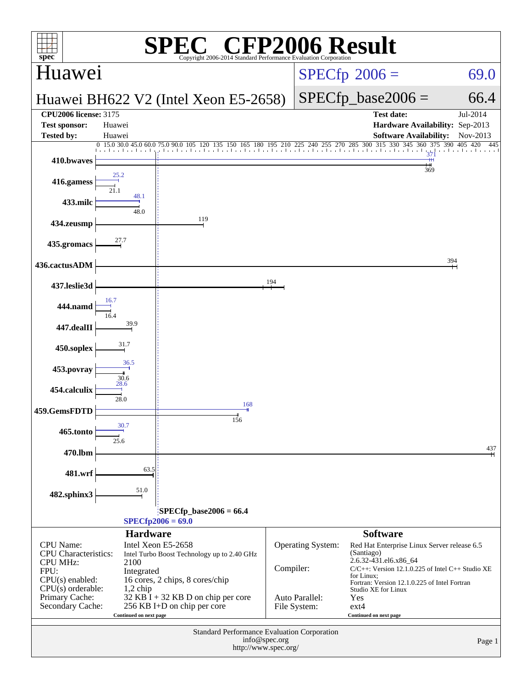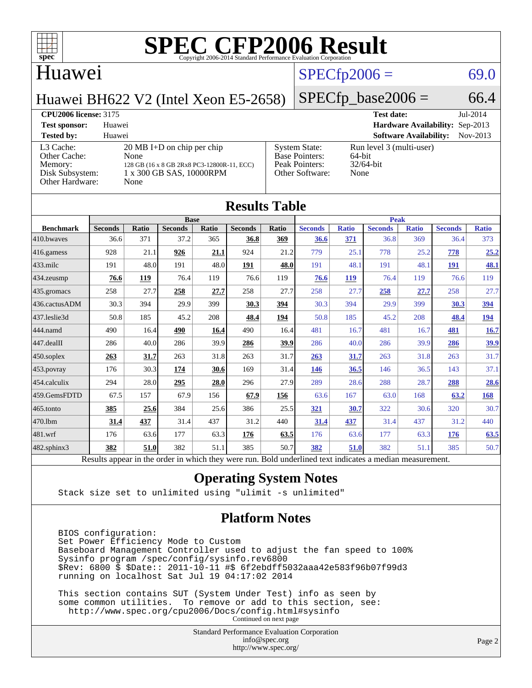

### Huawei

### $SPECfp2006 = 69.0$  $SPECfp2006 = 69.0$

 $SPECTp\_base2006 = 66.4$ 

Huawei BH622 V2 (Intel Xeon E5-2658)

| <b>CPU2006 license: 3175</b>                                               |                                                                                                                                |                                                                                    | <b>Test date:</b>                                          | $Jul-2014$ |
|----------------------------------------------------------------------------|--------------------------------------------------------------------------------------------------------------------------------|------------------------------------------------------------------------------------|------------------------------------------------------------|------------|
| <b>Test sponsor:</b>                                                       | Huawei                                                                                                                         |                                                                                    | Hardware Availability: Sep-2013                            |            |
| <b>Tested by:</b>                                                          | Huawei                                                                                                                         |                                                                                    | <b>Software Availability:</b>                              | $Nov-2013$ |
| L3 Cache:<br>Other Cache:<br>Memory:<br>Disk Subsystem:<br>Other Hardware: | $20 \text{ MB I+D}$ on chip per chip<br>None<br>128 GB (16 x 8 GB 2Rx8 PC3-12800R-11, ECC)<br>1 x 300 GB SAS, 10000RPM<br>None | <b>System State:</b><br><b>Base Pointers:</b><br>Peak Pointers:<br>Other Software: | Run level 3 (multi-user)<br>64-bit<br>$32/64$ -bit<br>None |            |

| <b>Results Table</b> |                                                                                                          |              |                |       |                |             |                |              |                |              |                |              |
|----------------------|----------------------------------------------------------------------------------------------------------|--------------|----------------|-------|----------------|-------------|----------------|--------------|----------------|--------------|----------------|--------------|
|                      | <b>Base</b>                                                                                              |              |                |       |                | <b>Peak</b> |                |              |                |              |                |              |
| <b>Benchmark</b>     | <b>Seconds</b>                                                                                           | <b>Ratio</b> | <b>Seconds</b> | Ratio | <b>Seconds</b> | Ratio       | <b>Seconds</b> | <b>Ratio</b> | <b>Seconds</b> | <b>Ratio</b> | <b>Seconds</b> | <b>Ratio</b> |
| 410.bwayes           | 36.6                                                                                                     | 371          | 37.2           | 365   | 36.8           | 369         | 36.6           | 371          | 36.8           | 369          | 36.4           | 373          |
| 416.gamess           | 928                                                                                                      | 21.1         | 926            | 21.1  | 924            | 21.2        | 779            | 25.1         | 778            | 25.2         | 778            | 25.2         |
| $433$ .milc          | 191                                                                                                      | 48.0         | 191            | 48.0  | 191            | 48.0        | 191            | 48.1         | 191            | 48.1         | <b>191</b>     | <u>48.1</u>  |
| 434.zeusmp           | 76.6                                                                                                     | 119          | 76.4           | 119   | 76.6           | 119         | 76.6           | <b>119</b>   | 76.4           | 119          | 76.6           | 119          |
| 435.gromacs          | 258                                                                                                      | 27.7         | 258            | 27.7  | 258            | 27.7        | 258            | 27.7         | 258            | 27.7         | 258            | 27.7         |
| 436.cactusADM        | 30.3                                                                                                     | 394          | 29.9           | 399   | 30.3           | 394         | 30.3           | 394          | 29.9           | 399          | 30.3           | 394          |
| 437.leslie3d         | 50.8                                                                                                     | 185          | 45.2           | 208   | 48.4           | 194         | 50.8           | 185          | 45.2           | 208          | 48.4           | <u>194</u>   |
| 444.namd             | 490                                                                                                      | 16.4         | 490            | 16.4  | 490            | 16.4        | 481            | 16.7         | 481            | 16.7         | 481            | 16.7         |
| 447.dealII           | 286                                                                                                      | 40.0         | 286            | 39.9  | 286            | 39.9        | 286            | 40.0         | 286            | 39.9         | 286            | 39.9         |
| 450.soplex           | 263                                                                                                      | 31.7         | 263            | 31.8  | 263            | 31.7        | 263            | 31.7         | 263            | 31.8         | 263            | 31.7         |
| 453.povray           | 176                                                                                                      | 30.3         | 174            | 30.6  | 169            | 31.4        | 146            | 36.5         | 146            | 36.5         | 143            | 37.1         |
| 454.calculix         | 294                                                                                                      | 28.0         | 295            | 28.0  | 296            | 27.9        | 289            | 28.6         | 288            | 28.7         | 288            | 28.6         |
| 459.GemsFDTD         | 67.5                                                                                                     | 157          | 67.9           | 156   | 67.9           | 156         | 63.6           | 167          | 63.0           | 168          | 63.2           | 168          |
| 465.tonto            | 385                                                                                                      | 25.6         | 384            | 25.6  | 386            | 25.5        | 321            | 30.7         | 322            | 30.6         | 320            | 30.7         |
| 470.1bm              | 31.4                                                                                                     | 437          | 31.4           | 437   | 31.2           | 440         | 31.4           | 437          | 31.4           | 437          | 31.2           | 440          |
| 481.wrf              | 176                                                                                                      | 63.6         | 177            | 63.3  | 176            | 63.5        | 176            | 63.6         | 177            | 63.3         | 176            | 63.5         |
| 482.sphinx3          | 382                                                                                                      | 51.0         | 382            | 51.1  | 385            | 50.7        | 382            | 51.0         | 382            | 51.1         | 385            | 50.7         |
|                      | Results appear in the order in which they were run. Bold underlined text indicates a median measurement. |              |                |       |                |             |                |              |                |              |                |              |

#### **[Operating System Notes](http://www.spec.org/auto/cpu2006/Docs/result-fields.html#OperatingSystemNotes)**

Stack size set to unlimited using "ulimit -s unlimited"

#### **[Platform Notes](http://www.spec.org/auto/cpu2006/Docs/result-fields.html#PlatformNotes)**

 BIOS configuration: Set Power Efficiency Mode to Custom Baseboard Management Controller used to adjust the fan speed to 100% Sysinfo program /spec/config/sysinfo.rev6800 \$Rev: 6800 \$ \$Date:: 2011-10-11 #\$ 6f2ebdff5032aaa42e583f96b07f99d3 running on localhost Sat Jul 19 04:17:02 2014

 This section contains SUT (System Under Test) info as seen by some common utilities. To remove or add to this section, see: <http://www.spec.org/cpu2006/Docs/config.html#sysinfo> Continued on next page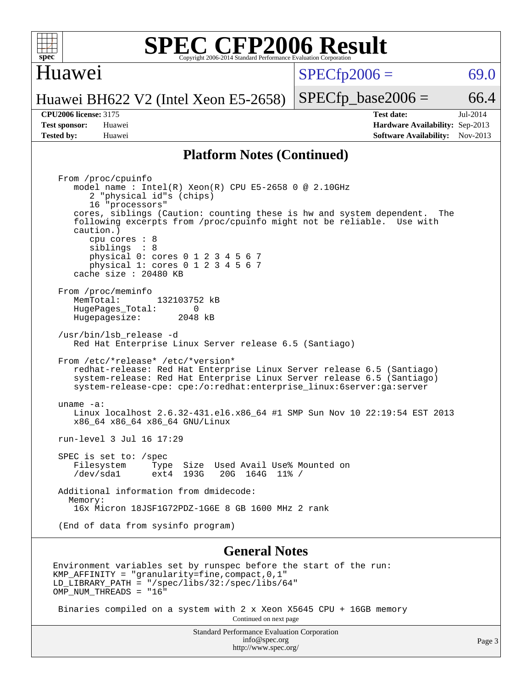

#### Huawei

 $SPECTp2006 = 69.0$ 

Huawei BH622 V2 (Intel Xeon E5-2658)

**[Tested by:](http://www.spec.org/auto/cpu2006/Docs/result-fields.html#Testedby)** Huawei **[Software Availability:](http://www.spec.org/auto/cpu2006/Docs/result-fields.html#SoftwareAvailability)** Nov-2013

 $SPECTp\_base2006 = 66.4$ **[CPU2006 license:](http://www.spec.org/auto/cpu2006/Docs/result-fields.html#CPU2006license)** 3175 **[Test date:](http://www.spec.org/auto/cpu2006/Docs/result-fields.html#Testdate)** Jul-2014 **[Test sponsor:](http://www.spec.org/auto/cpu2006/Docs/result-fields.html#Testsponsor)** Huawei **[Hardware Availability:](http://www.spec.org/auto/cpu2006/Docs/result-fields.html#HardwareAvailability)** Sep-2013

#### **[Platform Notes \(Continued\)](http://www.spec.org/auto/cpu2006/Docs/result-fields.html#PlatformNotes)**

 From /proc/cpuinfo model name : Intel(R) Xeon(R) CPU E5-2658 0 @ 2.10GHz 2 "physical id"s (chips) 16 "processors" cores, siblings (Caution: counting these is hw and system dependent. The following excerpts from /proc/cpuinfo might not be reliable. Use with caution.) cpu cores : 8 siblings : 8 physical 0: cores 0 1 2 3 4 5 6 7 physical 1: cores 0 1 2 3 4 5 6 7 cache size : 20480 KB From /proc/meminfo MemTotal: 132103752 kB<br>HugePages Total: 0 HugePages\_Total: 0 Hugepagesize: 2048 kB /usr/bin/lsb\_release -d Red Hat Enterprise Linux Server release 6.5 (Santiago) From /etc/\*release\* /etc/\*version\* redhat-release: Red Hat Enterprise Linux Server release 6.5 (Santiago) system-release: Red Hat Enterprise Linux Server release 6.5 (Santiago) system-release-cpe: cpe:/o:redhat:enterprise\_linux:6server:ga:server uname -a: Linux localhost 2.6.32-431.el6.x86\_64 #1 SMP Sun Nov 10 22:19:54 EST 2013 x86\_64 x86\_64 x86\_64 GNU/Linux run-level 3 Jul 16 17:29 SPEC is set to: /spec<br>Filesystem Type Type Size Used Avail Use% Mounted on /dev/sda1 ext4 193G 20G 164G 11% / Additional information from dmidecode: Memory: 16x Micron 18JSF1G72PDZ-1G6E 8 GB 1600 MHz 2 rank (End of data from sysinfo program)

#### **[General Notes](http://www.spec.org/auto/cpu2006/Docs/result-fields.html#GeneralNotes)**

Environment variables set by runspec before the start of the run: KMP\_AFFINITY = "granularity=fine,compact,0,1" LD\_LIBRARY\_PATH = "/spec/libs/32:/spec/libs/64" OMP NUM THREADS = "16"

 Binaries compiled on a system with 2 x Xeon X5645 CPU + 16GB memory Continued on next page

> Standard Performance Evaluation Corporation [info@spec.org](mailto:info@spec.org) <http://www.spec.org/>

Page 3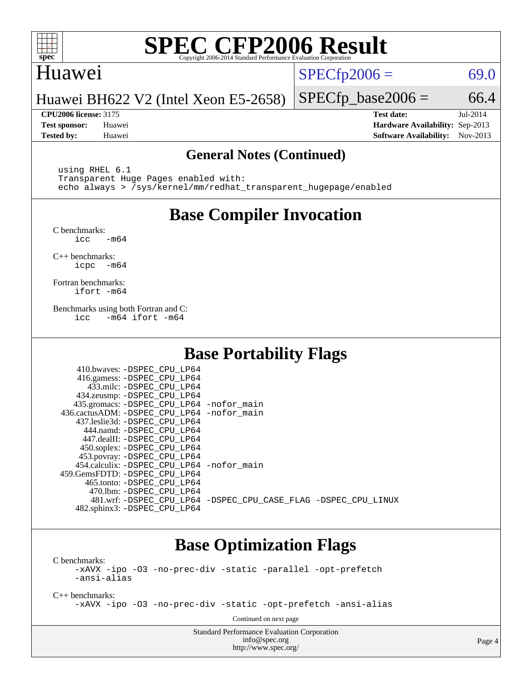

#### Huawei

 $SPECTp2006 = 69.0$ 

Huawei BH622 V2 (Intel Xeon E5-2658)

**[Tested by:](http://www.spec.org/auto/cpu2006/Docs/result-fields.html#Testedby)** Huawei **[Software Availability:](http://www.spec.org/auto/cpu2006/Docs/result-fields.html#SoftwareAvailability)** Nov-2013

**[CPU2006 license:](http://www.spec.org/auto/cpu2006/Docs/result-fields.html#CPU2006license)** 3175 **[Test date:](http://www.spec.org/auto/cpu2006/Docs/result-fields.html#Testdate)** Jul-2014 **[Test sponsor:](http://www.spec.org/auto/cpu2006/Docs/result-fields.html#Testsponsor)** Huawei **[Hardware Availability:](http://www.spec.org/auto/cpu2006/Docs/result-fields.html#HardwareAvailability)** Sep-2013

 $SPECTp\_base2006 = 66.4$ 

#### **[General Notes \(Continued\)](http://www.spec.org/auto/cpu2006/Docs/result-fields.html#GeneralNotes)**

 using RHEL 6.1 Transparent Huge Pages enabled with: echo always > /sys/kernel/mm/redhat\_transparent\_hugepage/enabled

## **[Base Compiler Invocation](http://www.spec.org/auto/cpu2006/Docs/result-fields.html#BaseCompilerInvocation)**

[C benchmarks](http://www.spec.org/auto/cpu2006/Docs/result-fields.html#Cbenchmarks):  $\text{icc}$   $-\text{m64}$ 

[C++ benchmarks:](http://www.spec.org/auto/cpu2006/Docs/result-fields.html#CXXbenchmarks) [icpc -m64](http://www.spec.org/cpu2006/results/res2014q3/cpu2006-20140725-30554.flags.html#user_CXXbase_intel_icpc_64bit_bedb90c1146cab66620883ef4f41a67e)

[Fortran benchmarks](http://www.spec.org/auto/cpu2006/Docs/result-fields.html#Fortranbenchmarks): [ifort -m64](http://www.spec.org/cpu2006/results/res2014q3/cpu2006-20140725-30554.flags.html#user_FCbase_intel_ifort_64bit_ee9d0fb25645d0210d97eb0527dcc06e)

[Benchmarks using both Fortran and C](http://www.spec.org/auto/cpu2006/Docs/result-fields.html#BenchmarksusingbothFortranandC): [icc -m64](http://www.spec.org/cpu2006/results/res2014q3/cpu2006-20140725-30554.flags.html#user_CC_FCbase_intel_icc_64bit_0b7121f5ab7cfabee23d88897260401c) [ifort -m64](http://www.spec.org/cpu2006/results/res2014q3/cpu2006-20140725-30554.flags.html#user_CC_FCbase_intel_ifort_64bit_ee9d0fb25645d0210d97eb0527dcc06e)

## **[Base Portability Flags](http://www.spec.org/auto/cpu2006/Docs/result-fields.html#BasePortabilityFlags)**

| 410.bwaves: -DSPEC CPU LP64<br>416.gamess: -DSPEC_CPU_LP64<br>433.milc: -DSPEC CPU LP64<br>434.zeusmp: -DSPEC_CPU_LP64<br>435.gromacs: -DSPEC_CPU_LP64 -nofor_main<br>436.cactusADM: -DSPEC_CPU_LP64 -nofor_main<br>437.leslie3d: -DSPEC_CPU LP64<br>444.namd: -DSPEC CPU LP64 |                                                                |
|--------------------------------------------------------------------------------------------------------------------------------------------------------------------------------------------------------------------------------------------------------------------------------|----------------------------------------------------------------|
| 447.dealII: -DSPEC_CPU LP64<br>450.soplex: -DSPEC_CPU_LP64                                                                                                                                                                                                                     |                                                                |
| 453.povray: -DSPEC_CPU_LP64<br>454.calculix: - DSPEC CPU LP64 - nofor main<br>459.GemsFDTD: -DSPEC_CPU LP64<br>465.tonto: -DSPEC CPU LP64                                                                                                                                      |                                                                |
| 470.1bm: - DSPEC CPU LP64<br>482.sphinx3: -DSPEC_CPU_LP64                                                                                                                                                                                                                      | 481.wrf: -DSPEC_CPU_LP64 -DSPEC_CPU_CASE_FLAG -DSPEC_CPU_LINUX |

## **[Base Optimization Flags](http://www.spec.org/auto/cpu2006/Docs/result-fields.html#BaseOptimizationFlags)**

[C benchmarks](http://www.spec.org/auto/cpu2006/Docs/result-fields.html#Cbenchmarks): [-xAVX](http://www.spec.org/cpu2006/results/res2014q3/cpu2006-20140725-30554.flags.html#user_CCbase_f-xAVX) [-ipo](http://www.spec.org/cpu2006/results/res2014q3/cpu2006-20140725-30554.flags.html#user_CCbase_f-ipo) [-O3](http://www.spec.org/cpu2006/results/res2014q3/cpu2006-20140725-30554.flags.html#user_CCbase_f-O3) [-no-prec-div](http://www.spec.org/cpu2006/results/res2014q3/cpu2006-20140725-30554.flags.html#user_CCbase_f-no-prec-div) [-static](http://www.spec.org/cpu2006/results/res2014q3/cpu2006-20140725-30554.flags.html#user_CCbase_f-static) [-parallel](http://www.spec.org/cpu2006/results/res2014q3/cpu2006-20140725-30554.flags.html#user_CCbase_f-parallel) [-opt-prefetch](http://www.spec.org/cpu2006/results/res2014q3/cpu2006-20140725-30554.flags.html#user_CCbase_f-opt-prefetch) [-ansi-alias](http://www.spec.org/cpu2006/results/res2014q3/cpu2006-20140725-30554.flags.html#user_CCbase_f-ansi-alias)

[C++ benchmarks:](http://www.spec.org/auto/cpu2006/Docs/result-fields.html#CXXbenchmarks)

[-xAVX](http://www.spec.org/cpu2006/results/res2014q3/cpu2006-20140725-30554.flags.html#user_CXXbase_f-xAVX) [-ipo](http://www.spec.org/cpu2006/results/res2014q3/cpu2006-20140725-30554.flags.html#user_CXXbase_f-ipo) [-O3](http://www.spec.org/cpu2006/results/res2014q3/cpu2006-20140725-30554.flags.html#user_CXXbase_f-O3) [-no-prec-div](http://www.spec.org/cpu2006/results/res2014q3/cpu2006-20140725-30554.flags.html#user_CXXbase_f-no-prec-div) [-static](http://www.spec.org/cpu2006/results/res2014q3/cpu2006-20140725-30554.flags.html#user_CXXbase_f-static) [-opt-prefetch](http://www.spec.org/cpu2006/results/res2014q3/cpu2006-20140725-30554.flags.html#user_CXXbase_f-opt-prefetch) [-ansi-alias](http://www.spec.org/cpu2006/results/res2014q3/cpu2006-20140725-30554.flags.html#user_CXXbase_f-ansi-alias)

Continued on next page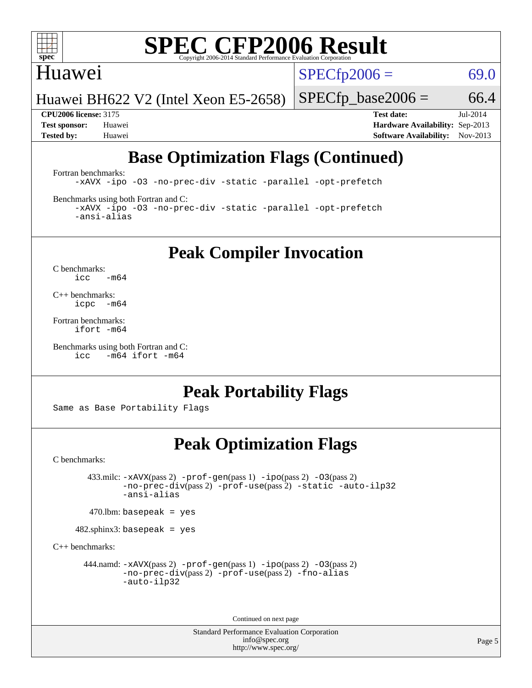

### Huawei

 $SPECTp2006 = 69.0$ 

Huawei BH622 V2 (Intel Xeon E5-2658)

 $SPECTp\_base2006 = 66.4$ 

**[CPU2006 license:](http://www.spec.org/auto/cpu2006/Docs/result-fields.html#CPU2006license)** 3175 **[Test date:](http://www.spec.org/auto/cpu2006/Docs/result-fields.html#Testdate)** Jul-2014 **[Test sponsor:](http://www.spec.org/auto/cpu2006/Docs/result-fields.html#Testsponsor)** Huawei **[Hardware Availability:](http://www.spec.org/auto/cpu2006/Docs/result-fields.html#HardwareAvailability)** Sep-2013 **[Tested by:](http://www.spec.org/auto/cpu2006/Docs/result-fields.html#Testedby)** Huawei **[Software Availability:](http://www.spec.org/auto/cpu2006/Docs/result-fields.html#SoftwareAvailability)** Nov-2013

## **[Base Optimization Flags \(Continued\)](http://www.spec.org/auto/cpu2006/Docs/result-fields.html#BaseOptimizationFlags)**

[Fortran benchmarks](http://www.spec.org/auto/cpu2006/Docs/result-fields.html#Fortranbenchmarks):

[-xAVX](http://www.spec.org/cpu2006/results/res2014q3/cpu2006-20140725-30554.flags.html#user_FCbase_f-xAVX) [-ipo](http://www.spec.org/cpu2006/results/res2014q3/cpu2006-20140725-30554.flags.html#user_FCbase_f-ipo) [-O3](http://www.spec.org/cpu2006/results/res2014q3/cpu2006-20140725-30554.flags.html#user_FCbase_f-O3) [-no-prec-div](http://www.spec.org/cpu2006/results/res2014q3/cpu2006-20140725-30554.flags.html#user_FCbase_f-no-prec-div) [-static](http://www.spec.org/cpu2006/results/res2014q3/cpu2006-20140725-30554.flags.html#user_FCbase_f-static) [-parallel](http://www.spec.org/cpu2006/results/res2014q3/cpu2006-20140725-30554.flags.html#user_FCbase_f-parallel) [-opt-prefetch](http://www.spec.org/cpu2006/results/res2014q3/cpu2006-20140725-30554.flags.html#user_FCbase_f-opt-prefetch)

[Benchmarks using both Fortran and C](http://www.spec.org/auto/cpu2006/Docs/result-fields.html#BenchmarksusingbothFortranandC):

[-xAVX](http://www.spec.org/cpu2006/results/res2014q3/cpu2006-20140725-30554.flags.html#user_CC_FCbase_f-xAVX) [-ipo](http://www.spec.org/cpu2006/results/res2014q3/cpu2006-20140725-30554.flags.html#user_CC_FCbase_f-ipo) [-O3](http://www.spec.org/cpu2006/results/res2014q3/cpu2006-20140725-30554.flags.html#user_CC_FCbase_f-O3) [-no-prec-div](http://www.spec.org/cpu2006/results/res2014q3/cpu2006-20140725-30554.flags.html#user_CC_FCbase_f-no-prec-div) [-static](http://www.spec.org/cpu2006/results/res2014q3/cpu2006-20140725-30554.flags.html#user_CC_FCbase_f-static) [-parallel](http://www.spec.org/cpu2006/results/res2014q3/cpu2006-20140725-30554.flags.html#user_CC_FCbase_f-parallel) [-opt-prefetch](http://www.spec.org/cpu2006/results/res2014q3/cpu2006-20140725-30554.flags.html#user_CC_FCbase_f-opt-prefetch) [-ansi-alias](http://www.spec.org/cpu2006/results/res2014q3/cpu2006-20140725-30554.flags.html#user_CC_FCbase_f-ansi-alias)

**[Peak Compiler Invocation](http://www.spec.org/auto/cpu2006/Docs/result-fields.html#PeakCompilerInvocation)**

[C benchmarks](http://www.spec.org/auto/cpu2006/Docs/result-fields.html#Cbenchmarks):  $\text{icc}$  -m64

[C++ benchmarks:](http://www.spec.org/auto/cpu2006/Docs/result-fields.html#CXXbenchmarks) [icpc -m64](http://www.spec.org/cpu2006/results/res2014q3/cpu2006-20140725-30554.flags.html#user_CXXpeak_intel_icpc_64bit_bedb90c1146cab66620883ef4f41a67e)

[Fortran benchmarks](http://www.spec.org/auto/cpu2006/Docs/result-fields.html#Fortranbenchmarks): [ifort -m64](http://www.spec.org/cpu2006/results/res2014q3/cpu2006-20140725-30554.flags.html#user_FCpeak_intel_ifort_64bit_ee9d0fb25645d0210d97eb0527dcc06e)

[Benchmarks using both Fortran and C](http://www.spec.org/auto/cpu2006/Docs/result-fields.html#BenchmarksusingbothFortranandC): [icc -m64](http://www.spec.org/cpu2006/results/res2014q3/cpu2006-20140725-30554.flags.html#user_CC_FCpeak_intel_icc_64bit_0b7121f5ab7cfabee23d88897260401c) [ifort -m64](http://www.spec.org/cpu2006/results/res2014q3/cpu2006-20140725-30554.flags.html#user_CC_FCpeak_intel_ifort_64bit_ee9d0fb25645d0210d97eb0527dcc06e)

## **[Peak Portability Flags](http://www.spec.org/auto/cpu2006/Docs/result-fields.html#PeakPortabilityFlags)**

Same as Base Portability Flags

## **[Peak Optimization Flags](http://www.spec.org/auto/cpu2006/Docs/result-fields.html#PeakOptimizationFlags)**

[C benchmarks](http://www.spec.org/auto/cpu2006/Docs/result-fields.html#Cbenchmarks):

 433.milc: [-xAVX](http://www.spec.org/cpu2006/results/res2014q3/cpu2006-20140725-30554.flags.html#user_peakPASS2_CFLAGSPASS2_LDFLAGS433_milc_f-xAVX)(pass 2) [-prof-gen](http://www.spec.org/cpu2006/results/res2014q3/cpu2006-20140725-30554.flags.html#user_peakPASS1_CFLAGSPASS1_LDFLAGS433_milc_prof_gen_e43856698f6ca7b7e442dfd80e94a8fc)(pass 1) [-ipo](http://www.spec.org/cpu2006/results/res2014q3/cpu2006-20140725-30554.flags.html#user_peakPASS2_CFLAGSPASS2_LDFLAGS433_milc_f-ipo)(pass 2) [-O3](http://www.spec.org/cpu2006/results/res2014q3/cpu2006-20140725-30554.flags.html#user_peakPASS2_CFLAGSPASS2_LDFLAGS433_milc_f-O3)(pass 2) [-no-prec-div](http://www.spec.org/cpu2006/results/res2014q3/cpu2006-20140725-30554.flags.html#user_peakPASS2_CFLAGSPASS2_LDFLAGS433_milc_f-no-prec-div)(pass 2) [-prof-use](http://www.spec.org/cpu2006/results/res2014q3/cpu2006-20140725-30554.flags.html#user_peakPASS2_CFLAGSPASS2_LDFLAGS433_milc_prof_use_bccf7792157ff70d64e32fe3e1250b55)(pass 2) [-static](http://www.spec.org/cpu2006/results/res2014q3/cpu2006-20140725-30554.flags.html#user_peakOPTIMIZE433_milc_f-static) [-auto-ilp32](http://www.spec.org/cpu2006/results/res2014q3/cpu2006-20140725-30554.flags.html#user_peakCOPTIMIZE433_milc_f-auto-ilp32) [-ansi-alias](http://www.spec.org/cpu2006/results/res2014q3/cpu2006-20140725-30554.flags.html#user_peakCOPTIMIZE433_milc_f-ansi-alias)

 $470$ .lbm: basepeak = yes

482.sphinx3: basepeak = yes

[C++ benchmarks:](http://www.spec.org/auto/cpu2006/Docs/result-fields.html#CXXbenchmarks)

444.namd:  $-x$ AVX(pass 2)  $-p$ rof-gen(pass 1)  $-p$ po(pass 2)  $-03$ (pass 2) [-no-prec-div](http://www.spec.org/cpu2006/results/res2014q3/cpu2006-20140725-30554.flags.html#user_peakPASS2_CXXFLAGSPASS2_LDFLAGS444_namd_f-no-prec-div)(pass 2) [-prof-use](http://www.spec.org/cpu2006/results/res2014q3/cpu2006-20140725-30554.flags.html#user_peakPASS2_CXXFLAGSPASS2_LDFLAGS444_namd_prof_use_bccf7792157ff70d64e32fe3e1250b55)(pass 2) [-fno-alias](http://www.spec.org/cpu2006/results/res2014q3/cpu2006-20140725-30554.flags.html#user_peakCXXOPTIMIZEOPTIMIZE444_namd_f-no-alias_694e77f6c5a51e658e82ccff53a9e63a) [-auto-ilp32](http://www.spec.org/cpu2006/results/res2014q3/cpu2006-20140725-30554.flags.html#user_peakCXXOPTIMIZE444_namd_f-auto-ilp32)

Continued on next page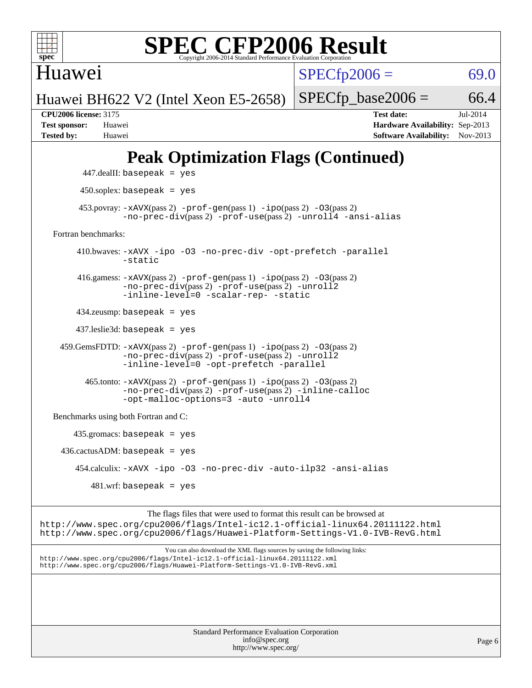

Huawei

 $SPECfp2006 = 69.0$  $SPECfp2006 = 69.0$ 

Huawei BH622 V2 (Intel Xeon E5-2658)

 $SPECTp\_base2006 = 66.4$ 

**[CPU2006 license:](http://www.spec.org/auto/cpu2006/Docs/result-fields.html#CPU2006license)** 3175 **[Test date:](http://www.spec.org/auto/cpu2006/Docs/result-fields.html#Testdate)** Jul-2014 **[Test sponsor:](http://www.spec.org/auto/cpu2006/Docs/result-fields.html#Testsponsor)** Huawei **[Hardware Availability:](http://www.spec.org/auto/cpu2006/Docs/result-fields.html#HardwareAvailability)** Sep-2013 **[Tested by:](http://www.spec.org/auto/cpu2006/Docs/result-fields.html#Testedby)** Huawei **[Software Availability:](http://www.spec.org/auto/cpu2006/Docs/result-fields.html#SoftwareAvailability)** Nov-2013

## **[Peak Optimization Flags \(Continued\)](http://www.spec.org/auto/cpu2006/Docs/result-fields.html#PeakOptimizationFlags)**

```
 447.dealII: basepeak = yes
          450.soplex: basepeak = yes
        453.povray: -xAVX(pass 2) -prof-gen(pass 1) -ipo(pass 2) -03(pass 2)
                   -no-prec-div(pass 2) -prof-use(pass 2) -unroll4 -ansi-alias
   Fortran benchmarks: 
         410.bwaves: -xAVX -ipo -O3 -no-prec-div -opt-prefetch -parallel
                   -static
         416.gamess: -xAVX(pass 2) -prof-gen(pass 1) -ipo(pass 2) -O3(pass 2)
                   -no-prec-div(pass 2) -prof-use(pass 2) -unroll2
                  -inline-level=0 -scalar-rep- -static
         434.zeusmp: basepeak = yes
         437.leslie3d: basepeak = yes
     459.GemsFDTD: -xAVX(pass 2) -prof-gen(pass 1) -ipo(pass 2) -O3(pass 2)
                  -no-prec-div(pass 2) -prof-use(pass 2) -unroll2
                  -inline-level=0 -opt-prefetch -parallel
           465.tonto: -xAVX(pass 2) -prof-gen(pass 1) -ipo(pass 2) -O3(pass 2)
                   -no-prec-div(pass 2) -prof-use(pass 2) -inline-calloc
                   -opt-malloc-options=3-auto-unroll4
   Benchmarks using both Fortran and C: 
        435.gromacs: basepeak = yes
    436.cactusADM:basepeak = yes 454.calculix: -xAVX -ipo -O3 -no-prec-div -auto-ilp32 -ansi-alias
           481 \text{.m}: basepeak = yes
                        The flags files that were used to format this result can be browsed at
http://www.spec.org/cpu2006/flags/Intel-ic12.1-official-linux64.20111122.html
```
<http://www.spec.org/cpu2006/flags/Huawei-Platform-Settings-V1.0-IVB-RevG.html> You can also download the XML flags sources by saving the following links:

<http://www.spec.org/cpu2006/flags/Intel-ic12.1-official-linux64.20111122.xml> <http://www.spec.org/cpu2006/flags/Huawei-Platform-Settings-V1.0-IVB-RevG.xml>